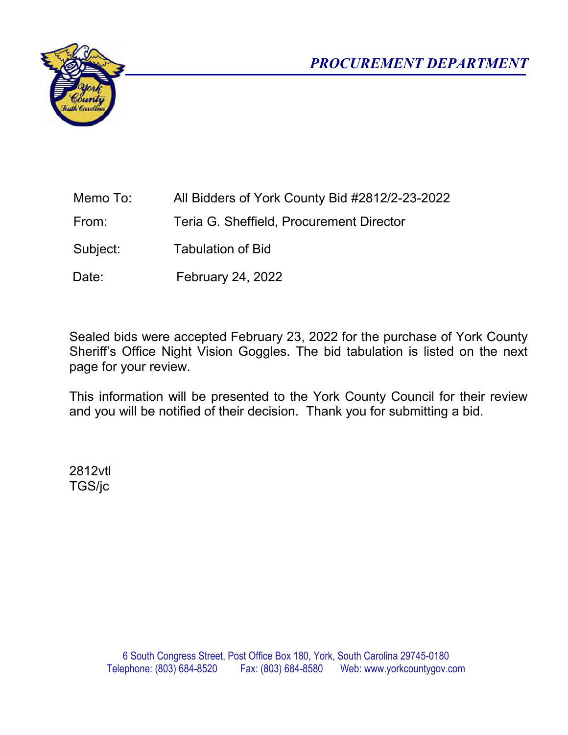

| Memo To: |  | All Bidders of York County Bid #2812/2-23-2022 |
|----------|--|------------------------------------------------|
|          |  |                                                |

From: Teria G. Sheffield, Procurement Director

Subject: Tabulation of Bid

Date: February 24, 2022

Sealed bids were accepted February 23, 2022 for the purchase of York County Sheriff's Office Night Vision Goggles. The bid tabulation is listed on the next page for your review.

This information will be presented to the York County Council for their review and you will be notified of their decision. Thank you for submitting a bid.

2812vtl TGS/jc